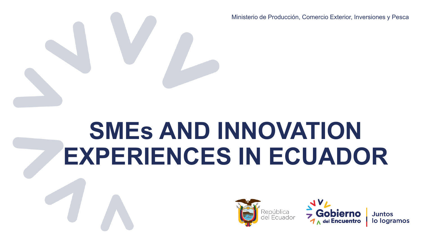Ministerio de Producción, Comercio Exterior, Inversiones y Pesca

# **SMEs AND INNOVATION EXPERIENCES IN ECUADOR**

Ministerio de Producción, Comercio Exterior, Inversiones y Pesca



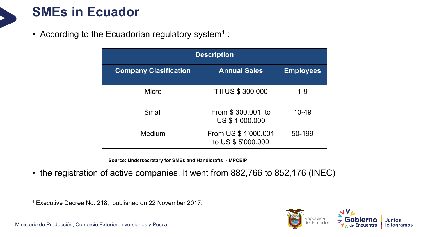### **SMEs in Ecuador**

• According to the Ecuadorian regulatory system<sup>1</sup>:

| <b>Description</b>           |                                            |                  |  |  |  |  |
|------------------------------|--------------------------------------------|------------------|--|--|--|--|
| <b>Company Clasification</b> | <b>Annual Sales</b>                        | <b>Employees</b> |  |  |  |  |
| <b>Micro</b>                 | Till US \$ 300.000                         | $1 - 9$          |  |  |  |  |
| Small                        | From \$300.001 to<br>US \$ 1'000.000       | 10-49            |  |  |  |  |
| Medium                       | From US \$ 1'000.001<br>to US \$ 5'000.000 | 50-199           |  |  |  |  |

**Source: Undersecretary for SMEs and Handicrafts - MPCEIP**

• the registration of active companies. It went from 882,766 to 852,176 (INEC)

<sup>1</sup> Executive Decree No. 218, published on 22 November 2017.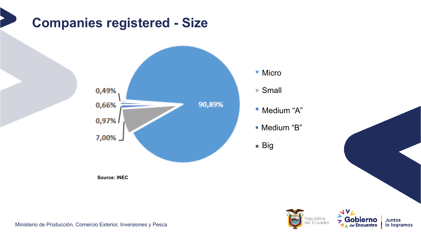## **Companies registered - Size**



Micro

Small

Medium "A"

Medium "B"

■ Big



Ministerio de Producción, Comercio Exterior, Inversiones y Pesca

**Source: INEC**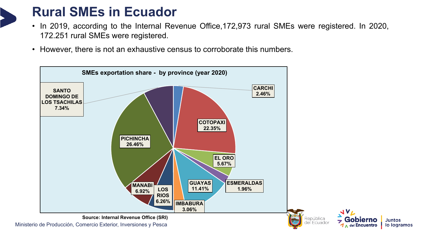## **Rural SMEs in Ecuador**

- In 2019, according to the Internal Revenue Office,172,973 rural SMEs were registered. In 2020, 172.251 rural SMEs were registered.
- However, there is not an exhaustive census to corroborate this numbers.



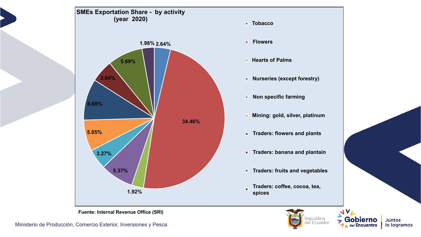

**Juntos** 

lo logramos

סו

Encuentro

uador

**Fuente: Internal Revenue Office (SRI)**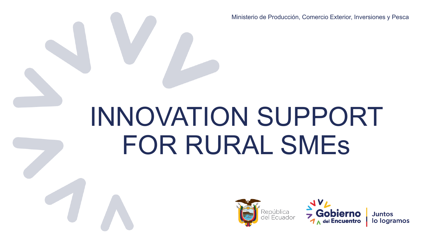Ministerio de Producción, Comercio Exterior, Inversiones y Pesca

# INNOVATION SUPPORT FOR RURAL SMEs

Ministerio de Producción, Comercio Exterior, Inversiones y Pesca



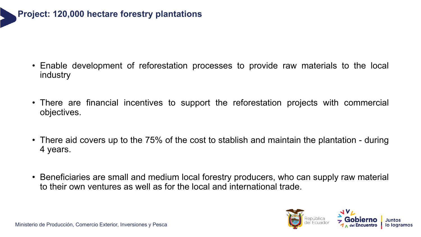

- Enable development of reforestation processes to provide raw materials to the local industry
- There are financial incentives to support the reforestation projects with commercial objectives.
- There aid covers up to the 75% of the cost to stablish and maintain the plantation during 4 years.
- Beneficiaries are small and medium local forestry producers, who can supply raw material to their own ventures as well as for the local and international trade.

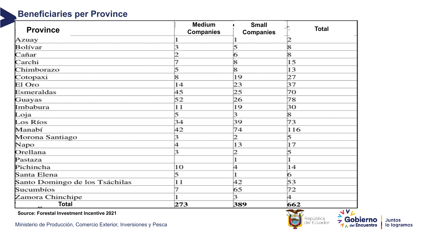#### **Beneficiaries per Province**

|                                | <b>Medium</b>    | <b>Small</b>     |              |
|--------------------------------|------------------|------------------|--------------|
| <b>Province</b>                | <b>Companies</b> | <b>Companies</b> | <b>Total</b> |
| Azuay                          |                  |                  |              |
| Bolívar                        |                  | 5                | 8            |
| Cañar                          |                  | 6                | 8            |
| Carchi                         |                  | 8                | 15           |
| Chimborazo                     |                  | 8                | 13           |
| Cotopaxi                       | 8                | 19               | 27           |
| El Oro                         | 14               | 23               | 37           |
| Esmeraldas                     | 45               | 25               | 70           |
| Guayas                         | 52               | 26               | 78           |
| Imbabura                       | 11               | 19               | 30           |
| Loja                           | 5                | з                | 8            |
| Los Ríos                       | 34               | 39               | 73           |
| Manabí                         | 42               | 74               | 116          |
| Morona Santiago                |                  | 12               | 5            |
| Napo                           | 4                | 13               | 17           |
| Orellana                       | з                | 2                | 5            |
| Pastaza                        |                  |                  |              |
| Pichincha                      | 10               | 4                | 14           |
| Santa Elena                    | 5                |                  | 6            |
| Santo Domingo de los Tsáchilas | 11               | 42               | 53           |
| Sucumbíos                      |                  | 65               | 72           |
| Zamora Chinchipe               |                  | 3                | 4            |
| <b>Total</b>                   | 273              | 389              | 662          |

**Source: Forestal Investment Incentive 2021**

Ministerio de Producción, Comercio Exterior, Inversiones y Pesca



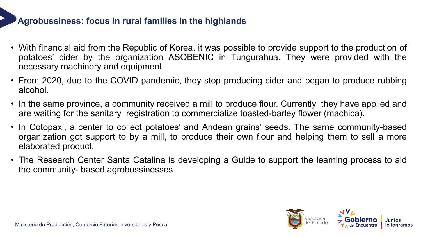#### **Agrobussiness: focus in rural families in the highlands**

- With financial aid from the Republic of Korea, it was possible to provide support to the production of potatoes' cider by the organization ASOBENIC in Tungurahua. They were provided with the necessary machinery and equipment.
- From 2020, due to the COVID pandemic, they stop producing cider and began to produce rubbing alcohol.
- In the same province, a community received a mill to produce flour. Currently they have applied and are waiting for the sanitary registration to commercialize toasted-barley flower (machica).
- In Cotopaxi, a center to collect potatoes' and Andean grains' seeds. The same community-based organization got support to by a mill, to produce their own flour and helping them to sell a more elaborated product.
- The Research Center Santa Catalina is developing a Guide to support the learning process to aid the community- based agrobussinesses.

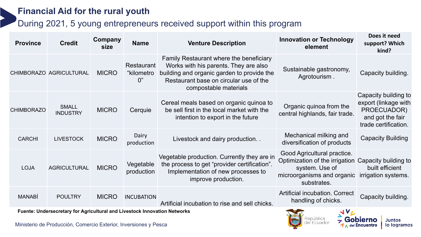#### **Financial Aid for the rural youth**

#### During 2021, 5 young entrepreneurs received support within this program

| <b>Province</b>   | <b>Credit</b>                                                             | Company<br>size | <b>Name</b>                           | <b>Venture Description</b>                                                                                                                                                                        | <b>Innovation or Technology</b><br>element                                                                                                        | Does it need<br>support? Which<br>kind?                                                                 |
|-------------------|---------------------------------------------------------------------------|-----------------|---------------------------------------|---------------------------------------------------------------------------------------------------------------------------------------------------------------------------------------------------|---------------------------------------------------------------------------------------------------------------------------------------------------|---------------------------------------------------------------------------------------------------------|
|                   | CHIMBORAZO AGRICULTURAL                                                   | <b>MICRO</b>    | <b>Restaurant</b><br>"kilometro<br>0" | Family Restaurant where the beneficiary<br>Works with his parents. They are also<br>building and organic garden to provide the<br>Restaurant base on circular use of the<br>compostable materials | Sustainable gastronomy,<br>Agrotourism.                                                                                                           | Capacity building.                                                                                      |
| <b>CHIMBORAZO</b> | <b>SMALL</b><br><b>INDUSTRY</b>                                           | <b>MICRO</b>    | Cerquie                               | Cereal meals based on organic quinoa to<br>be sell first in the local market with the<br>intention to export in the future                                                                        | Organic quinoa from the<br>central highlands, fair trade.                                                                                         | Capacity building to<br>export (linkage with<br>PROECUADOR)<br>and got the fair<br>trade certification. |
| <b>CARCHI</b>     | <b>LIVESTOCK</b>                                                          | <b>MICRO</b>    | Dairy<br>production                   | Livestock and dairy production                                                                                                                                                                    | Mechanical milking and<br>diversification of products                                                                                             | <b>Capacity Building</b>                                                                                |
| <b>LOJA</b>       | <b>AGRICULTURAL</b>                                                       | <b>MICRO</b>    | Vegetable<br>production               | Vegetable production. Currently they are in<br>the process to get "provider certification".<br>Implementation of new processes to<br>improve production.                                          | Good Agricultural practice.<br>Optimization of the irrigation Capacity building to<br>system. Use of<br>microorganisms and organic<br>substrates. | built efficient<br>irrigation systems.                                                                  |
| <b>MANABÍ</b>     | <b>POULTRY</b>                                                            | <b>MICRO</b>    | <b>INCUBATION</b>                     | Artificial incubation to rise and sell chicks.                                                                                                                                                    | <b>Artificial incubation. Correct</b><br>handling of chicks.                                                                                      | Capacity building.                                                                                      |
|                   | Fuente: Undersecretary for Agricultural and Livestock Innovation Networks |                 | <b>JVL</b>                            |                                                                                                                                                                                                   |                                                                                                                                                   |                                                                                                         |

República

Juntos lo logramos

Ministerio de Producción, Comercio Exterior, Inversiones y Pesca